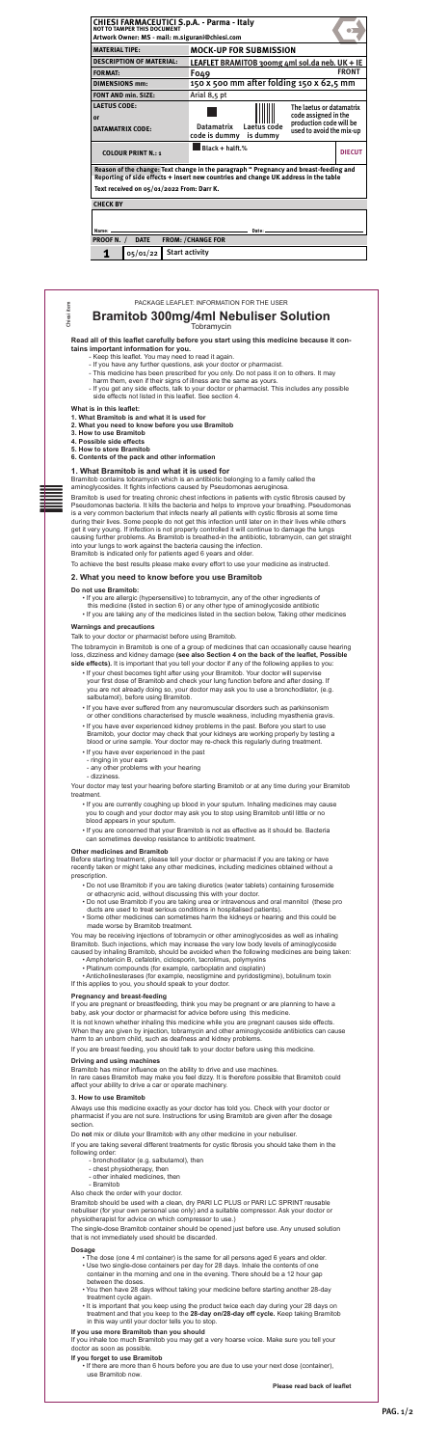BAR - CODE ZONE Chiesi iter

2 8

# tains important information for you. **Read all of this leaflet carefully before you start using this medicine because it con-**

- Keep this leaflet. You may need to read it again.
- If you have any further questions, ask your doctor or pharmacist.
- This medicine has been prescribed for you only. Do not pass it on to others. It may<br>have there are a if their since of illness are the same as yours
	- harm them, even if their signs of illness are the same as yours.
	- If you get any side effects, talk to your doctor or pharmacist. This includes any possible side effects not listed in this leaflet. See section 4.

Chiesi item

hiesi item

# **Bramitob 300mg/4ml Nebuliser Solution**

# **Tobramycin**

#### **What is in this leaflet:**

- **1. What Bramitob is and what it is used for**
- **2. What you need to know before you use Bramitob**
- **3. How to use Bramitob**
- **4. Possible side effects**
- **5. How to store Bramitob**
- **6. Contents of the pack and other information**

# **1. What Bramitob is and what it is used for**

Bramitob contains tobramycin which is an antibiotic belonging to a family called the aminoglycosides. It fights infections caused by Pseudomonas aeruginosa.

Bramitob is used for treating chronic chest infections in patients with cystic fibrosis caused by Pseudomonas bacteria. It kills the bacteria and helps to improve your breathing. Pseudomonas is a very common bacterium that infects nearly all patients with cystic fibrosis at some time during their lives. Some people do not get this infection until later on in their lives while others get it very young. If infection is not properly controlled it will continue to damage the lungs causing further problems. As Bramitob is breathed-in the antibiotic, tobramycin, can get straight into your lungs to work against the bacteria causing the infection. Bramitob is indicated only for patients aged 6 years and older.

To achieve the best results please make every effort to use your medicine as instructed.

# **2. What you need to know before you use Bramitob**

#### **Do not use Bramitob:**

It is not known whether inhaling this medicine while you are pregnant causes side effects. When they are given by injection, tobramycin and other aminoglycoside antibiotics can cause harm to an unborn child, such as deafness and kidney problems.

- If you are allergic (hypersensitive) to tobramycin, any of the other ingredients of this medicine (listed in section 6) or any other type of aminoglycoside antibiotic
- If you are taking any of the medicines listed in the section below, Taking other medicines

#### **Warnings and precautions**

Talk to your doctor or pharmacist before using Bramitob.

The tobramycin in Bramitob is one of a group of medicines that can occasionally cause hearing loss, dizziness and kidney damage **(see also Section 4 on the back of the leaflet, Possible side effects).** It is important that you tell your doctor if any of the following applies to you:

- If your chest becomes tight after using your Bramitob. Your doctor will supervise your first dose of Bramitob and check your lung function before and after dosing. If you are not already doing so, your doctor may ask you to use a bronchodilator, (e.g. salbutamol), before using Bramitob.
- If you have ever suffered from any neuromuscular disorders such as parkinsonism or other conditions characterised by muscle weakness, including myasthenia gravis.
- If you have ever experienced kidney problems in the past. Before you start to use Bramitob, your doctor may check that your kidneys are working properly by testing a blood or urine sample. Your doctor may re-check this regularly during treatment.
- If you have ever experienced in the past
	- ringing in your ears
- any other problems with your hearing
- dizziness.

Your doctor may test your hearing before starting Bramitob or at any time during your Bramitob treatment.

- If you are currently coughing up blood in your sputum. Inhaling medicines may cause you to cough and your doctor may ask you to stop using Bramitob until little or no blood appears in your sputum.
- If you are concerned that your Bramitob is not as effective as it should be. Bacteria can sometimes develop resistance to antibiotic treatment.

#### **Other medicines and Bramitob**

Before starting treatment, please tell your doctor or pharmacist if you are taking or have recently taken or might take any other medicines, including medicines obtained without a prescription.

- Do not use Bramitob if you are taking diuretics (water tablets) containing furosemide or ethacrynic acid, without discussing this with your doctor.
- Do not use Bramitob if you are taking urea or intravenous and oral mannitol (these pro ducts are used to treat serious conditions in hospitalised patients).
- Some other medicines can sometimes harm the kidneys or hearing and this could be made worse by Bramitob treatment.

You may be receiving injections of tobramycin or other aminoglycosides as well as inhaling Bramitob. Such injections, which may increase the very low body levels of aminoglycoside caused by inhaling Bramitob, should be avoided when the following medicines are being taken:

- Amphotericin B, cefalotin, ciclosporin, tacrolimus, polymyxins
- Platinum compounds (for example, carboplatin and cisplatin)

• Anticholinesterases (for example, neostigmine and pyridostigmine), botulinum toxin If this applies to you, you should speak to your doctor.

### **Pregnancy and breast-feeding**

If you are pregnant or breastfeeding, think you may be pregnant or are planning to have a baby, ask your doctor or pharmacist for advice before using this medicine.

If you are breast feeding, you should talk to your doctor before using this medicine.

# **Driving and using machines**

Bramitob has minor influence on the ability to drive and use machines. In rare cases Bramitob may make you feel dizzy. It is therefore possible that Bramitob could affect your ability to drive a car or operate machinery.

### **3. How to use Bramitob**

Always use this medicine exactly as your doctor has told you. Check with your doctor or pharmacist if you are not sure. Instructions for using Bramitob are given after the dosage section.

Do **not** mix or dilute your Bramitob with any other medicine in your nebuliser.

If you are taking several different treatments for cystic fibrosis you should take them in the following order:

- bronchodilator (e.g. salbutamol), then
- chest physiotherapy, then
- other inhaled medicines, then
- Bramitob

Also check the order with your doctor.

Bramitob should be used with a clean, dry PARI LC PLUS or PARI LC SPRINT reusable nebuliser (for your own personal use only) and a suitable compressor. Ask your doctor or physiotherapist for advice on which compressor to use.)

The single-dose Bramitob container should be opened just before use. Any unused solution that is not immediately used should be discarded.

#### **Dosage**

- The dose (one 4 ml container) is the same for all persons aged 6 years and older.
- Use two single-dose containers per day for 28 days. Inhale the contents of one container in the morning and one in the evening. There should be a 12 hour gap between the doses.
- You then have 28 days without taking your medicine before starting another 28-day treatment cycle again.
- It is important that you keep using the product twice each day during your 28 days on treatment and that you keep to the **28-day on/28-day off cycle.** Keep taking Bramitob in this way until your doctor tells you to stop.

#### **If you use more Bramitob than you should**

If you inhale too much Bramitob you may get a very hoarse voice. Make sure you tell your doctor as soon as possible.

# **If you forget to use Bramitob**

• If there are more than 6 hours before you are due to use your next dose (container), use Bramitob now.

**Please read back of leaflet**